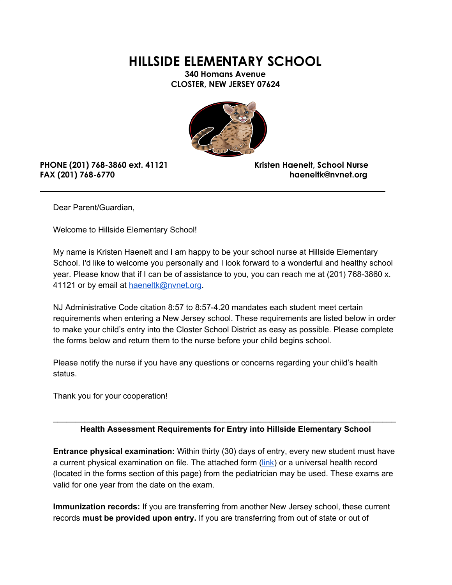**HILLSIDE ELEMENTARY SCHOOL**

**340 Homans Avenue CLOSTER, NEW JERSEY 07624**



## **PHONE (201) 768-3860 ext. 41121 Kristen Haenelt, School Nurse FAX (201) 768-6770 haeneltk@nvnet.org**

Dear Parent/Guardian,

Welcome to Hillside Elementary School!

My name is Kristen Haenelt and I am happy to be your school nurse at Hillside Elementary School. I'd like to welcome you personally and I look forward to a wonderful and healthy school year. Please know that if I can be of assistance to you, you can reach me at (201) 768-3860 x. 41121 or by email at [haeneltk@nvnet.org](mailto:haeneltk@nvnet.org).

NJ Administrative Code citation 8:57 to 8:57-4.20 mandates each student meet certain requirements when entering a New Jersey school. These requirements are listed below in order to make your child's entry into the Closter School District as easy as possible. Please complete the forms below and return them to the nurse before your child begins school.

Please notify the nurse if you have any questions or concerns regarding your child's health status.

Thank you for your cooperation!

## \_\_\_\_\_\_\_\_\_\_\_\_\_\_\_\_\_\_\_\_\_\_\_\_\_\_\_\_\_\_\_\_\_\_\_\_\_\_\_\_\_\_\_\_\_\_\_\_\_\_\_\_\_\_\_\_\_\_\_\_\_\_\_\_\_\_\_\_\_\_\_\_\_\_\_\_ **Health Assessment Requirements for Entry into Hillside Elementary School**

**Entrance physical examination:** Within thirty (30) days of entry, every new student must have a current physical examination on file. The attached form ([link](http://closter-physical-and-immunization-form-closter/)) or a universal health record (located in the forms section of this page) from the pediatrician may be used. These exams are valid for one year from the date on the exam.

**Immunization records:** If you are transferring from another New Jersey school, these current records **must be provided upon entry.** If you are transferring from out of state or out of